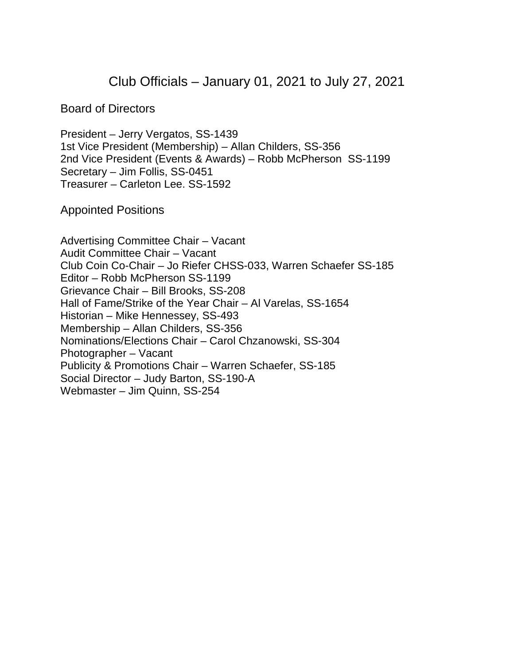Club Officials – January 01, 2021 to July 27, 2021

Board of Directors

President – Jerry Vergatos, SS-1439 1st Vice President (Membership) – Allan Childers, SS-356 2nd Vice President (Events & Awards) – Robb McPherson SS-1199 Secretary – Jim Follis, SS-0451 Treasurer – Carleton Lee. SS-1592

Appointed Positions

Advertising Committee Chair – Vacant Audit Committee Chair – Vacant Club Coin Co-Chair – Jo Riefer CHSS-033, Warren Schaefer SS-185 Editor – Robb McPherson SS-1199 Grievance Chair – Bill Brooks, SS-208 Hall of Fame/Strike of the Year Chair – Al Varelas, SS-1654 Historian – Mike Hennessey, SS-493 Membership – Allan Childers, SS-356 Nominations/Elections Chair – Carol Chzanowski, SS-304 Photographer – Vacant Publicity & Promotions Chair – Warren Schaefer, SS-185 Social Director – Judy Barton, SS-190-A Webmaster – Jim Quinn, SS-254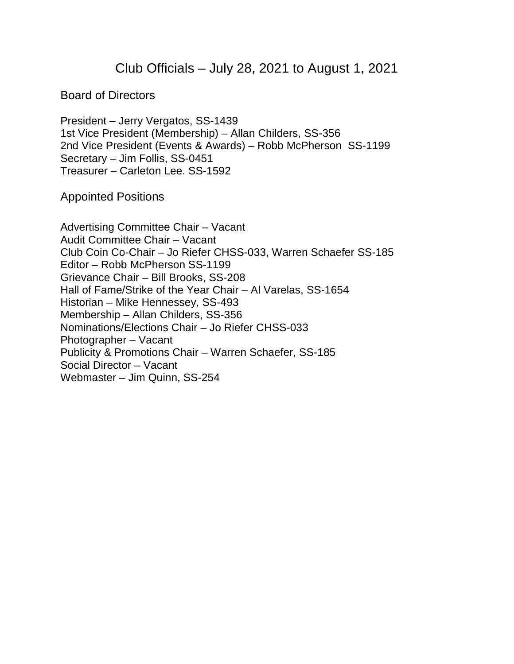Club Officials – July 28, 2021 to August 1, 2021

Board of Directors

President – Jerry Vergatos, SS-1439 1st Vice President (Membership) – Allan Childers, SS-356 2nd Vice President (Events & Awards) – Robb McPherson SS-1199 Secretary – Jim Follis, SS-0451 Treasurer – Carleton Lee. SS-1592

Appointed Positions

Advertising Committee Chair – Vacant Audit Committee Chair – Vacant Club Coin Co-Chair – Jo Riefer CHSS-033, Warren Schaefer SS-185 Editor – Robb McPherson SS-1199 Grievance Chair – Bill Brooks, SS-208 Hall of Fame/Strike of the Year Chair – Al Varelas, SS-1654 Historian – Mike Hennessey, SS-493 Membership – Allan Childers, SS-356 Nominations/Elections Chair – Jo Riefer CHSS-033 Photographer – Vacant Publicity & Promotions Chair – Warren Schaefer, SS-185 Social Director – Vacant Webmaster – Jim Quinn, SS-254